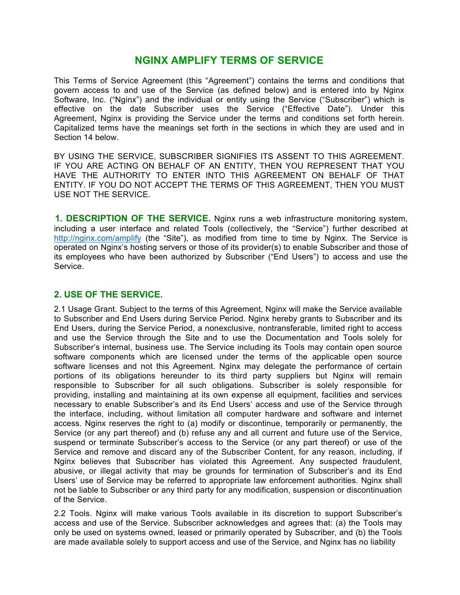# **NGINX AMPLIFY TERMS OF SERVICE**

This Terms of Service Agreement (this "Agreement") contains the terms and conditions that govern access to and use of the Service (as defined below) and is entered into by Nginx Software, Inc. ("Nginx") and the individual or entity using the Service ("Subscriber") which is effective on the date Subscriber uses the Service ("Effective Date"). Under this Agreement, Nginx is providing the Service under the terms and conditions set forth herein. Capitalized terms have the meanings set forth in the sections in which they are used and in Section 14 below.

BY USING THE SERVICE, SUBSCRIBER SIGNIFIES ITS ASSENT TO THIS AGREEMENT. IF YOU ARE ACTING ON BEHALF OF AN ENTITY, THEN YOU REPRESENT THAT YOU HAVE THE AUTHORITY TO ENTER INTO THIS AGREEMENT ON BEHALF OF THAT ENTITY. IF YOU DO NOT ACCEPT THE TERMS OF THIS AGREEMENT, THEN YOU MUST USE NOT THE SERVICE.

**1. DESCRIPTION OF THE SERVICE.** Nginx runs a web infrastructure monitoring system, including a user interface and related Tools (collectively, the "Service") further described at http://nginx.com/amplify (the "Site"), as modified from time to time by Nginx. The Service is operated on Nginx's hosting servers or those of its provider(s) to enable Subscriber and those of its employees who have been authorized by Subscriber ("End Users") to access and use the Service.

#### **2. USE OF THE SERVICE.**

2.1 Usage Grant. Subject to the terms of this Agreement, Nginx will make the Service available to Subscriber and End Users during Service Period. Nginx hereby grants to Subscriber and its End Users, during the Service Period, a nonexclusive, nontransferable, limited right to access and use the Service through the Site and to use the Documentation and Tools solely for Subscriber's internal, business use. The Service including its Tools may contain open source software components which are licensed under the terms of the applicable open source software licenses and not this Agreement. Nginx may delegate the performance of certain portions of its obligations hereunder to its third party suppliers but Nginx will remain responsible to Subscriber for all such obligations. Subscriber is solely responsible for providing, installing and maintaining at its own expense all equipment, facilities and services necessary to enable Subscriber's and its End Users' access and use of the Service through the interface, including, without limitation all computer hardware and software and internet access. Nginx reserves the right to (a) modify or discontinue, temporarily or permanently, the Service (or any part thereof) and (b) refuse any and all current and future use of the Service, suspend or terminate Subscriber's access to the Service (or any part thereof) or use of the Service and remove and discard any of the Subscriber Content, for any reason, including, if Nginx believes that Subscriber has violated this Agreement. Any suspected fraudulent, abusive, or illegal activity that may be grounds for termination of Subscriber's and its End Users' use of Service may be referred to appropriate law enforcement authorities. Nginx shall not be liable to Subscriber or any third party for any modification, suspension or discontinuation of the Service.

2.2 Tools. Nginx will make various Tools available in its discretion to support Subscriber's access and use of the Service. Subscriber acknowledges and agrees that: (a) the Tools may only be used on systems owned, leased or primarily operated by Subscriber, and (b) the Tools are made available solely to support access and use of the Service, and Nginx has no liability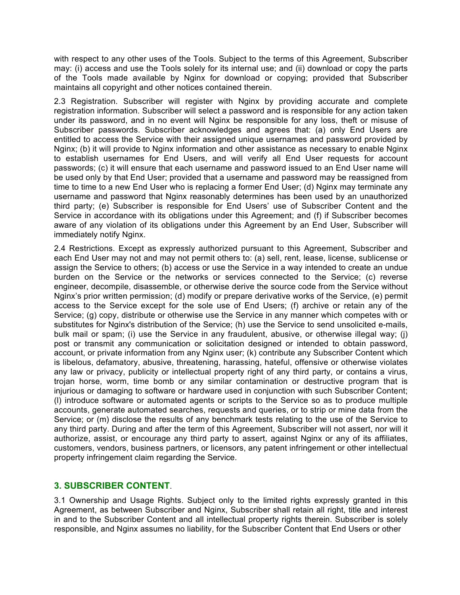with respect to any other uses of the Tools. Subject to the terms of this Agreement, Subscriber may: (i) access and use the Tools solely for its internal use; and (ii) download or copy the parts of the Tools made available by Nginx for download or copying; provided that Subscriber maintains all copyright and other notices contained therein.

2.3 Registration. Subscriber will register with Nginx by providing accurate and complete registration information. Subscriber will select a password and is responsible for any action taken under its password, and in no event will Nginx be responsible for any loss, theft or misuse of Subscriber passwords. Subscriber acknowledges and agrees that: (a) only End Users are entitled to access the Service with their assigned unique usernames and password provided by Nginx; (b) it will provide to Nginx information and other assistance as necessary to enable Nginx to establish usernames for End Users, and will verify all End User requests for account passwords; (c) it will ensure that each username and password issued to an End User name will be used only by that End User; provided that a username and password may be reassigned from time to time to a new End User who is replacing a former End User; (d) Nginx may terminate any username and password that Nginx reasonably determines has been used by an unauthorized third party; (e) Subscriber is responsible for End Users' use of Subscriber Content and the Service in accordance with its obligations under this Agreement; and (f) if Subscriber becomes aware of any violation of its obligations under this Agreement by an End User, Subscriber will immediately notify Nginx.

2.4 Restrictions. Except as expressly authorized pursuant to this Agreement, Subscriber and each End User may not and may not permit others to: (a) sell, rent, lease, license, sublicense or assign the Service to others; (b) access or use the Service in a way intended to create an undue burden on the Service or the networks or services connected to the Service; (c) reverse engineer, decompile, disassemble, or otherwise derive the source code from the Service without Nginx's prior written permission; (d) modify or prepare derivative works of the Service, (e) permit access to the Service except for the sole use of End Users; (f) archive or retain any of the Service; (g) copy, distribute or otherwise use the Service in any manner which competes with or substitutes for Nginx's distribution of the Service; (h) use the Service to send unsolicited e-mails, bulk mail or spam; (i) use the Service in any fraudulent, abusive, or otherwise illegal way; (j) post or transmit any communication or solicitation designed or intended to obtain password, account, or private information from any Nginx user; (k) contribute any Subscriber Content which is libelous, defamatory, abusive, threatening, harassing, hateful, offensive or otherwise violates any law or privacy, publicity or intellectual property right of any third party, or contains a virus, trojan horse, worm, time bomb or any similar contamination or destructive program that is injurious or damaging to software or hardware used in conjunction with such Subscriber Content; (l) introduce software or automated agents or scripts to the Service so as to produce multiple accounts, generate automated searches, requests and queries, or to strip or mine data from the Service; or (m) disclose the results of any benchmark tests relating to the use of the Service to any third party. During and after the term of this Agreement, Subscriber will not assert, nor will it authorize, assist, or encourage any third party to assert, against Nginx or any of its affiliates, customers, vendors, business partners, or licensors, any patent infringement or other intellectual property infringement claim regarding the Service.

### **3. SUBSCRIBER CONTENT**.

3.1 Ownership and Usage Rights. Subject only to the limited rights expressly granted in this Agreement, as between Subscriber and Nginx, Subscriber shall retain all right, title and interest in and to the Subscriber Content and all intellectual property rights therein. Subscriber is solely responsible, and Nginx assumes no liability, for the Subscriber Content that End Users or other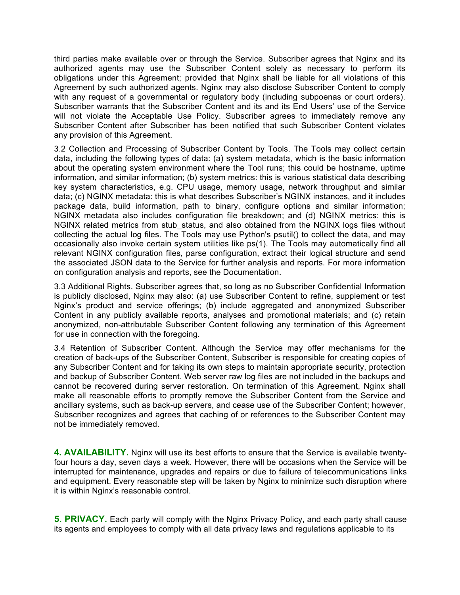third parties make available over or through the Service. Subscriber agrees that Nginx and its authorized agents may use the Subscriber Content solely as necessary to perform its obligations under this Agreement; provided that Nginx shall be liable for all violations of this Agreement by such authorized agents. Nginx may also disclose Subscriber Content to comply with any request of a governmental or regulatory body (including subpoenas or court orders). Subscriber warrants that the Subscriber Content and its and its End Users' use of the Service will not violate the Acceptable Use Policy. Subscriber agrees to immediately remove any Subscriber Content after Subscriber has been notified that such Subscriber Content violates any provision of this Agreement.

3.2 Collection and Processing of Subscriber Content by Tools. The Tools may collect certain data, including the following types of data: (a) system metadata, which is the basic information about the operating system environment where the Tool runs; this could be hostname, uptime information, and similar information; (b) system metrics: this is various statistical data describing key system characteristics, e.g. CPU usage, memory usage, network throughput and similar data; (c) NGINX metadata: this is what describes Subscriber's NGINX instances, and it includes package data, build information, path to binary, configure options and similar information; NGINX metadata also includes configuration file breakdown; and (d) NGINX metrics: this is NGINX related metrics from stub status, and also obtained from the NGINX logs files without collecting the actual log files. The Tools may use Python's psutil() to collect the data, and may occasionally also invoke certain system utilities like ps(1). The Tools may automatically find all relevant NGINX configuration files, parse configuration, extract their logical structure and send the associated JSON data to the Service for further analysis and reports. For more information on configuration analysis and reports, see the Documentation.

3.3 Additional Rights. Subscriber agrees that, so long as no Subscriber Confidential Information is publicly disclosed, Nginx may also: (a) use Subscriber Content to refine, supplement or test Nginx's product and service offerings; (b) include aggregated and anonymized Subscriber Content in any publicly available reports, analyses and promotional materials; and (c) retain anonymized, non-attributable Subscriber Content following any termination of this Agreement for use in connection with the foregoing.

3.4 Retention of Subscriber Content. Although the Service may offer mechanisms for the creation of back-ups of the Subscriber Content, Subscriber is responsible for creating copies of any Subscriber Content and for taking its own steps to maintain appropriate security, protection and backup of Subscriber Content. Web server raw log files are not included in the backups and cannot be recovered during server restoration. On termination of this Agreement, Nginx shall make all reasonable efforts to promptly remove the Subscriber Content from the Service and ancillary systems, such as back-up servers, and cease use of the Subscriber Content; however, Subscriber recognizes and agrees that caching of or references to the Subscriber Content may not be immediately removed.

**4. AVAILABILITY.** Nginx will use its best efforts to ensure that the Service is available twentyfour hours a day, seven days a week. However, there will be occasions when the Service will be interrupted for maintenance, upgrades and repairs or due to failure of telecommunications links and equipment. Every reasonable step will be taken by Nginx to minimize such disruption where it is within Nginx's reasonable control.

**5. PRIVACY.** Each party will comply with the Nginx Privacy Policy, and each party shall cause its agents and employees to comply with all data privacy laws and regulations applicable to its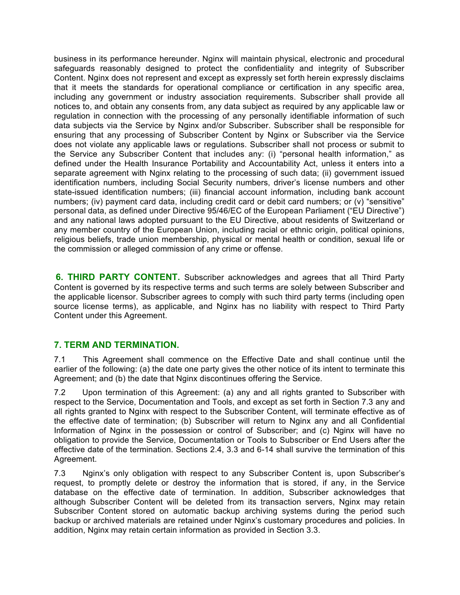business in its performance hereunder. Nginx will maintain physical, electronic and procedural safeguards reasonably designed to protect the confidentiality and integrity of Subscriber Content. Nginx does not represent and except as expressly set forth herein expressly disclaims that it meets the standards for operational compliance or certification in any specific area, including any government or industry association requirements. Subscriber shall provide all notices to, and obtain any consents from, any data subject as required by any applicable law or regulation in connection with the processing of any personally identifiable information of such data subjects via the Service by Nginx and/or Subscriber. Subscriber shall be responsible for ensuring that any processing of Subscriber Content by Nginx or Subscriber via the Service does not violate any applicable laws or regulations. Subscriber shall not process or submit to the Service any Subscriber Content that includes any: (i) "personal health information," as defined under the Health Insurance Portability and Accountability Act, unless it enters into a separate agreement with Nginx relating to the processing of such data; (ii) government issued identification numbers, including Social Security numbers, driver's license numbers and other state-issued identification numbers; (iii) financial account information, including bank account numbers; (iv) payment card data, including credit card or debit card numbers; or (v) "sensitive" personal data, as defined under Directive 95/46/EC of the European Parliament ("EU Directive") and any national laws adopted pursuant to the EU Directive, about residents of Switzerland or any member country of the European Union, including racial or ethnic origin, political opinions, religious beliefs, trade union membership, physical or mental health or condition, sexual life or the commission or alleged commission of any crime or offense.

**6. THIRD PARTY CONTENT.** Subscriber acknowledges and agrees that all Third Party Content is governed by its respective terms and such terms are solely between Subscriber and the applicable licensor. Subscriber agrees to comply with such third party terms (including open source license terms), as applicable, and Nginx has no liability with respect to Third Party Content under this Agreement.

### **7. TERM AND TERMINATION.**

7.1 This Agreement shall commence on the Effective Date and shall continue until the earlier of the following: (a) the date one party gives the other notice of its intent to terminate this Agreement; and (b) the date that Nginx discontinues offering the Service.

7.2 Upon termination of this Agreement: (a) any and all rights granted to Subscriber with respect to the Service, Documentation and Tools, and except as set forth in Section 7.3 any and all rights granted to Nginx with respect to the Subscriber Content, will terminate effective as of the effective date of termination; (b) Subscriber will return to Nginx any and all Confidential Information of Nginx in the possession or control of Subscriber; and (c) Nginx will have no obligation to provide the Service, Documentation or Tools to Subscriber or End Users after the effective date of the termination. Sections 2.4, 3.3 and 6-14 shall survive the termination of this Agreement.

7.3 Nginx's only obligation with respect to any Subscriber Content is, upon Subscriber's request, to promptly delete or destroy the information that is stored, if any, in the Service database on the effective date of termination. In addition, Subscriber acknowledges that although Subscriber Content will be deleted from its transaction servers, Nginx may retain Subscriber Content stored on automatic backup archiving systems during the period such backup or archived materials are retained under Nginx's customary procedures and policies. In addition, Nginx may retain certain information as provided in Section 3.3.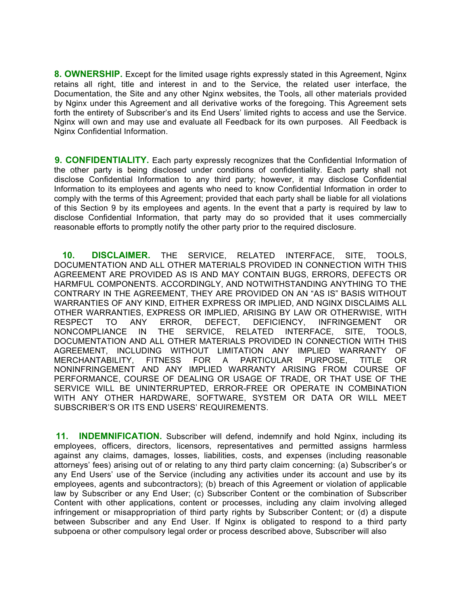**8. OWNERSHIP.** Except for the limited usage rights expressly stated in this Agreement, Nginx retains all right, title and interest in and to the Service, the related user interface, the Documentation, the Site and any other Nginx websites, the Tools, all other materials provided by Nginx under this Agreement and all derivative works of the foregoing. This Agreement sets forth the entirety of Subscriber's and its End Users' limited rights to access and use the Service. Nginx will own and may use and evaluate all Feedback for its own purposes. All Feedback is Nginx Confidential Information.

**9. CONFIDENTIALITY.** Each party expressly recognizes that the Confidential Information of the other party is being disclosed under conditions of confidentiality. Each party shall not disclose Confidential Information to any third party; however, it may disclose Confidential Information to its employees and agents who need to know Confidential Information in order to comply with the terms of this Agreement; provided that each party shall be liable for all violations of this Section 9 by its employees and agents. In the event that a party is required by law to disclose Confidential Information, that party may do so provided that it uses commercially reasonable efforts to promptly notify the other party prior to the required disclosure.

**10. DISCLAIMER.** THE SERVICE, RELATED INTERFACE, SITE, TOOLS, DOCUMENTATION AND ALL OTHER MATERIALS PROVIDED IN CONNECTION WITH THIS AGREEMENT ARE PROVIDED AS IS AND MAY CONTAIN BUGS, ERRORS, DEFECTS OR HARMFUL COMPONENTS. ACCORDINGLY, AND NOTWITHSTANDING ANYTHING TO THE CONTRARY IN THE AGREEMENT, THEY ARE PROVIDED ON AN "AS IS" BASIS WITHOUT WARRANTIES OF ANY KIND, EITHER EXPRESS OR IMPLIED, AND NGINX DISCLAIMS ALL OTHER WARRANTIES, EXPRESS OR IMPLIED, ARISING BY LAW OR OTHERWISE, WITH RESPECT TO ANY ERROR, DEFECT, DEFICIENCY, INFRINGEMENT OR NONCOMPLIANCE IN THE SERVICE, RELATED INTERFACE, SITE, TOOLS, DOCUMENTATION AND ALL OTHER MATERIALS PROVIDED IN CONNECTION WITH THIS AGREEMENT, INCLUDING WITHOUT LIMITATION ANY IMPLIED WARRANTY OF MERCHANTABILITY, FITNESS FOR A PARTICULAR PURPOSE, TITLE OR NONINFRINGEMENT AND ANY IMPLIED WARRANTY ARISING FROM COURSE OF PERFORMANCE, COURSE OF DEALING OR USAGE OF TRADE, OR THAT USE OF THE SERVICE WILL BE UNINTERRUPTED, ERROR-FREE OR OPERATE IN COMBINATION WITH ANY OTHER HARDWARE, SOFTWARE, SYSTEM OR DATA OR WILL MEET SUBSCRIBER'S OR ITS END USERS' REQUIREMENTS.

**11. INDEMNIFICATION.** Subscriber will defend, indemnify and hold Nginx, including its employees, officers, directors, licensors, representatives and permitted assigns harmless against any claims, damages, losses, liabilities, costs, and expenses (including reasonable attorneys' fees) arising out of or relating to any third party claim concerning: (a) Subscriber's or any End Users' use of the Service (including any activities under its account and use by its employees, agents and subcontractors); (b) breach of this Agreement or violation of applicable law by Subscriber or any End User; (c) Subscriber Content or the combination of Subscriber Content with other applications, content or processes, including any claim involving alleged infringement or misappropriation of third party rights by Subscriber Content; or (d) a dispute between Subscriber and any End User. If Nginx is obligated to respond to a third party subpoena or other compulsory legal order or process described above, Subscriber will also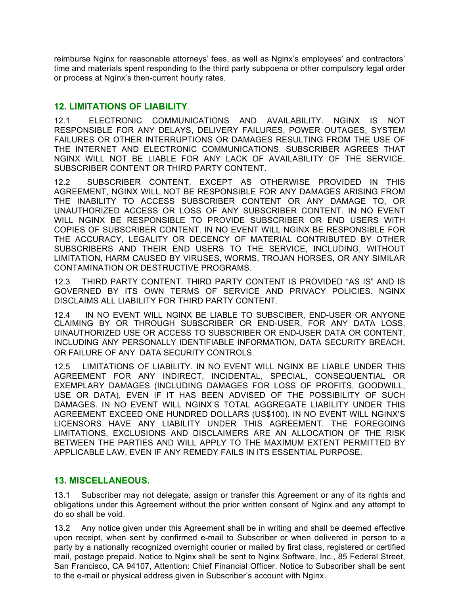reimburse Nginx for reasonable attorneys' fees, as well as Nginx's employees' and contractors' time and materials spent responding to the third party subpoena or other compulsory legal order or process at Nginx's then-current hourly rates.

#### **12. LIMITATIONS OF LIABILITY**.

12.1 ELECTRONIC COMMUNICATIONS AND AVAILABILITY. NGINX IS NOT RESPONSIBLE FOR ANY DELAYS, DELIVERY FAILURES, POWER OUTAGES, SYSTEM FAILURES OR OTHER INTERRUPTIONS OR DAMAGES RESULTING FROM THE USE OF THE INTERNET AND ELECTRONIC COMMUNICATIONS. SUBSCRIBER AGREES THAT NGINX WILL NOT BE LIABLE FOR ANY LACK OF AVAILABILITY OF THE SERVICE, SUBSCRIBER CONTENT OR THIRD PARTY CONTENT.

12.2 SUBSCRIBER CONTENT. EXCEPT AS OTHERWISE PROVIDED IN THIS AGREEMENT, NGINX WILL NOT BE RESPONSIBLE FOR ANY DAMAGES ARISING FROM THE INABILITY TO ACCESS SUBSCRIBER CONTENT OR ANY DAMAGE TO, OR UNAUTHORIZED ACCESS OR LOSS OF ANY SUBSCRIBER CONTENT. IN NO EVENT WILL NGINX BE RESPONSIBLE TO PROVIDE SUBSCRIBER OR END USERS WITH COPIES OF SUBSCRIBER CONTENT. IN NO EVENT WILL NGINX BE RESPONSIBLE FOR THE ACCURACY, LEGALITY OR DECENCY OF MATERIAL CONTRIBUTED BY OTHER SUBSCRIBERS AND THEIR END USERS TO THE SERVICE, INCLUDING, WITHOUT LIMITATION, HARM CAUSED BY VIRUSES, WORMS, TROJAN HORSES, OR ANY SIMILAR CONTAMINATION OR DESTRUCTIVE PROGRAMS.

12.3 THIRD PARTY CONTENT. THIRD PARTY CONTENT IS PROVIDED "AS IS" AND IS GOVERNED BY ITS OWN TERMS OF SERVICE AND PRIVACY POLICIES. NGINX DISCLAIMS ALL LIABILITY FOR THIRD PARTY CONTENT.

12.4 IN NO EVENT WILL NGINX BE LIABLE TO SUBSCIBER, END-USER OR ANYONE CLAIMING BY OR THROUGH SUBSCRIBER OR END-USER, FOR ANY DATA LOSS, UINAUTHORIZED USE OR ACCESS TO SUBSCRIBER OR END-USER DATA OR CONTENT, INCLUDING ANY PERSONALLY IDENTIFIABLE INFORMATION, DATA SECURITY BREACH, OR FAILURE OF ANY DATA SECURITY CONTROLS.

12.5 LIMITATIONS OF LIABILITY. IN NO EVENT WILL NGINX BE LIABLE UNDER THIS AGREEMENT FOR ANY INDIRECT, INCIDENTAL, SPECIAL, CONSEQUENTIAL OR EXEMPLARY DAMAGES (INCLUDING DAMAGES FOR LOSS OF PROFITS, GOODWILL, USE OR DATA), EVEN IF IT HAS BEEN ADVISED OF THE POSSIBILITY OF SUCH DAMAGES. IN NO EVENT WILL NGINX'S TOTAL AGGREGATE LIABILITY UNDER THIS AGREEMENT EXCEED ONE HUNDRED DOLLARS (US\$100). IN NO EVENT WILL NGINX'S LICENSORS HAVE ANY LIABILITY UNDER THIS AGREEMENT. THE FOREGOING LIMITATIONS, EXCLUSIONS AND DISCLAIMERS ARE AN ALLOCATION OF THE RISK BETWEEN THE PARTIES AND WILL APPLY TO THE MAXIMUM EXTENT PERMITTED BY APPLICABLE LAW, EVEN IF ANY REMEDY FAILS IN ITS ESSENTIAL PURPOSE.

#### **13. MISCELLANEOUS.**

13.1 Subscriber may not delegate, assign or transfer this Agreement or any of its rights and obligations under this Agreement without the prior written consent of Nginx and any attempt to do so shall be void.

13.2 Any notice given under this Agreement shall be in writing and shall be deemed effective upon receipt, when sent by confirmed e-mail to Subscriber or when delivered in person to a party by a nationally recognized overnight courier or mailed by first class, registered or certified mail, postage prepaid. Notice to Nginx shall be sent to Nginx Software, Inc., 85 Federal Street, San Francisco, CA 94107, Attention: Chief Financial Officer. Notice to Subscriber shall be sent to the e-mail or physical address given in Subscriber's account with Nginx.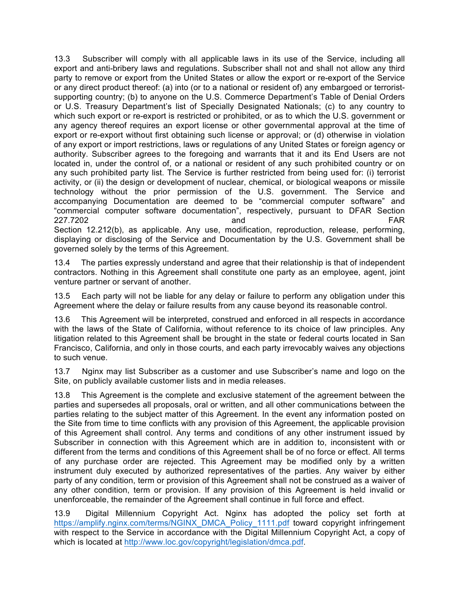13.3 Subscriber will comply with all applicable laws in its use of the Service, including all export and anti-bribery laws and regulations. Subscriber shall not and shall not allow any third party to remove or export from the United States or allow the export or re-export of the Service or any direct product thereof: (a) into (or to a national or resident of) any embargoed or terroristsupporting country; (b) to anyone on the U.S. Commerce Department's Table of Denial Orders or U.S. Treasury Department's list of Specially Designated Nationals; (c) to any country to which such export or re-export is restricted or prohibited, or as to which the U.S. government or any agency thereof requires an export license or other governmental approval at the time of export or re-export without first obtaining such license or approval; or (d) otherwise in violation of any export or import restrictions, laws or regulations of any United States or foreign agency or authority. Subscriber agrees to the foregoing and warrants that it and its End Users are not located in, under the control of, or a national or resident of any such prohibited country or on any such prohibited party list. The Service is further restricted from being used for: (i) terrorist activity, or (ii) the design or development of nuclear, chemical, or biological weapons or missile technology without the prior permission of the U.S. government. The Service and accompanying Documentation are deemed to be "commercial computer software" and "commercial computer software documentation", respectively, pursuant to DFAR Section 227.7202 and FAR

Section 12.212(b), as applicable. Any use, modification, reproduction, release, performing, displaying or disclosing of the Service and Documentation by the U.S. Government shall be governed solely by the terms of this Agreement.

13.4 The parties expressly understand and agree that their relationship is that of independent contractors. Nothing in this Agreement shall constitute one party as an employee, agent, joint venture partner or servant of another.

13.5 Each party will not be liable for any delay or failure to perform any obligation under this Agreement where the delay or failure results from any cause beyond its reasonable control.

13.6 This Agreement will be interpreted, construed and enforced in all respects in accordance with the laws of the State of California, without reference to its choice of law principles. Any litigation related to this Agreement shall be brought in the state or federal courts located in San Francisco, California, and only in those courts, and each party irrevocably waives any objections to such venue.

13.7 Nginx may list Subscriber as a customer and use Subscriber's name and logo on the Site, on publicly available customer lists and in media releases.

13.8 This Agreement is the complete and exclusive statement of the agreement between the parties and supersedes all proposals, oral or written, and all other communications between the parties relating to the subject matter of this Agreement. In the event any information posted on the Site from time to time conflicts with any provision of this Agreement, the applicable provision of this Agreement shall control. Any terms and conditions of any other instrument issued by Subscriber in connection with this Agreement which are in addition to, inconsistent with or different from the terms and conditions of this Agreement shall be of no force or effect. All terms of any purchase order are rejected. This Agreement may be modified only by a written instrument duly executed by authorized representatives of the parties. Any waiver by either party of any condition, term or provision of this Agreement shall not be construed as a waiver of any other condition, term or provision. If any provision of this Agreement is held invalid or unenforceable, the remainder of the Agreement shall continue in full force and effect.

13.9 Digital Millennium Copyright Act. Nginx has adopted the policy set forth at https://amplify.nginx.com/terms/NGINX\_DMCA\_Policy\_1111.pdf toward copyright infringement with respect to the Service in accordance with the Digital Millennium Copyright Act, a copy of which is located at http://www.loc.gov/copyright/legislation/dmca.pdf.